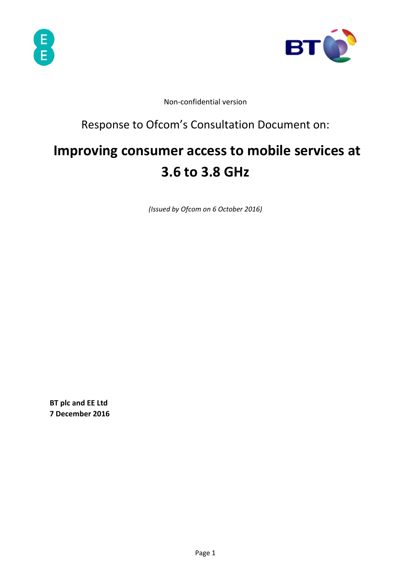



Non‐confidential version

# Response to Ofcom's Consultation Document on:

# **Improving consumer access to mobile services at 3.6 to 3.8 GHz**

*(Issued by Ofcom on 6 October 2016)* 

**BT plc and EE Ltd 7 December 2016**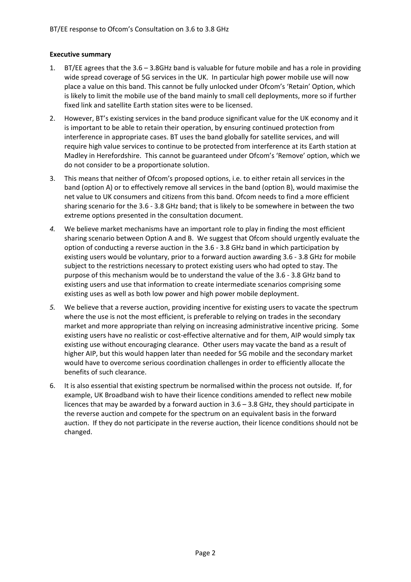#### **Executive summary**

- 1. BT/EE agrees that the 3.6 3.8GHz band is valuable for future mobile and has a role in providing wide spread coverage of 5G services in the UK. In particular high power mobile use will now place a value on this band. This cannot be fully unlocked under Ofcom's 'Retain' Option, which is likely to limit the mobile use of the band mainly to small cell deployments, more so if further fixed link and satellite Earth station sites were to be licensed.
- 2. However, BT's existing services in the band produce significant value for the UK economy and it is important to be able to retain their operation, by ensuring continued protection from interference in appropriate cases. BT uses the band globally for satellite services, and will require high value services to continue to be protected from interference at its Earth station at Madley in Herefordshire. This cannot be guaranteed under Ofcom's 'Remove' option, which we do not consider to be a proportionate solution.
- 3. This means that neither of Ofcom's proposed options, i.e. to either retain all services in the band (option A) or to effectively remove all services in the band (option B), would maximise the net value to UK consumers and citizens from this band. Ofcom needs to find a more efficient sharing scenario for the 3.6 ‐ 3.8 GHz band; that is likely to be somewhere in between the two extreme options presented in the consultation document.
- *4.* We believe market mechanisms have an important role to play in finding the most efficient sharing scenario between Option A and B. We suggest that Ofcom should urgently evaluate the option of conducting a reverse auction in the 3.6 ‐ 3.8 GHz band in which participation by existing users would be voluntary, prior to a forward auction awarding 3.6 ‐ 3.8 GHz for mobile subject to the restrictions necessary to protect existing users who had opted to stay. The purpose of this mechanism would be to understand the value of the 3.6 ‐ 3.8 GHz band to existing users and use that information to create intermediate scenarios comprising some existing uses as well as both low power and high power mobile deployment.
- *5.* We believe that a reverse auction, providing incentive for existing users to vacate the spectrum where the use is not the most efficient, is preferable to relying on trades in the secondary market and more appropriate than relying on increasing administrative incentive pricing. Some existing users have no realistic or cost-effective alternative and for them, AIP would simply tax existing use without encouraging clearance. Other users may vacate the band as a result of higher AIP, but this would happen later than needed for 5G mobile and the secondary market would have to overcome serious coordination challenges in order to efficiently allocate the benefits of such clearance.
- 6. It is also essential that existing spectrum be normalised within the process not outside. If, for example, UK Broadband wish to have their licence conditions amended to reflect new mobile licences that may be awarded by a forward auction in  $3.6 - 3.8$  GHz, they should participate in the reverse auction and compete for the spectrum on an equivalent basis in the forward auction. If they do not participate in the reverse auction, their licence conditions should not be changed.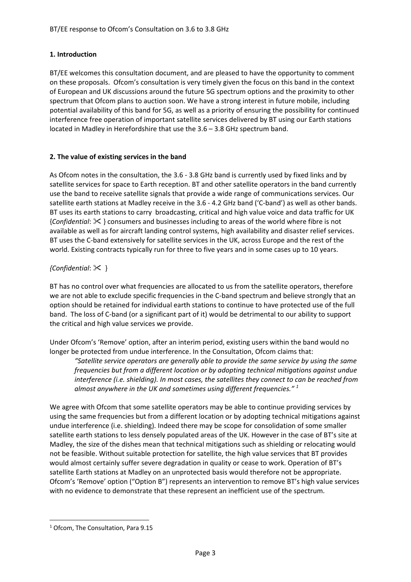# **1. Introduction**

BT/EE welcomes this consultation document, and are pleased to have the opportunity to comment on these proposals. Ofcom's consultation is very timely given the focus on this band in the context of European and UK discussions around the future 5G spectrum options and the proximity to other spectrum that Ofcom plans to auction soon. We have a strong interest in future mobile, including potential availability of this band for 5G, as well as a priority of ensuring the possibility for continued interference free operation of important satellite services delivered by BT using our Earth stations located in Madley in Herefordshire that use the 3.6 – 3.8 GHz spectrum band.

# **2. The value of existing services in the band**

As Ofcom notes in the consultation, the 3.6 ‐ 3.8 GHz band is currently used by fixed links and by satellite services for space to Earth reception. BT and other satellite operators in the band currently use the band to receive satellite signals that provide a wide range of communications services. Our satellite earth stations at Madley receive in the 3.6 ‐ 4.2 GHz band ('C‐band') as well as other bands. BT uses its earth stations to carry broadcasting, critical and high value voice and data traffic for UK {*Confidential*: } consumers and businesses including to areas of the world where fibre is not available as well as for aircraft landing control systems, high availability and disaster relief services. BT uses the C-band extensively for satellite services in the UK, across Europe and the rest of the world. Existing contracts typically run for three to five years and in some cases up to 10 years. 

# *{Confidential*: }

BT has no control over what frequencies are allocated to us from the satellite operators, therefore we are not able to exclude specific frequencies in the C-band spectrum and believe strongly that an option should be retained for individual earth stations to continue to have protected use of the full band. The loss of C‐band (or a significant part of it) would be detrimental to our ability to support the critical and high value services we provide.

Under Ofcom's 'Remove' option, after an interim period, existing users within the band would no longer be protected from undue interference. In the Consultation, Ofcom claims that:

*"Satellite service operators are generally able to provide the same service by using the same frequencies but from a different location or by adopting technical mitigations against undue interference (i.e. shielding). In most cases, the satellites they connect to can be reached from almost anywhere in the UK and sometimes using different frequencies." <sup>1</sup>*

We agree with Ofcom that some satellite operators may be able to continue providing services by using the same frequencies but from a different location or by adopting technical mitigations against undue interference (i.e. shielding). Indeed there may be scope for consolidation of some smaller satellite earth stations to less densely populated areas of the UK. However in the case of BT's site at Madley, the size of the dishes mean that technical mitigations such as shielding or relocating would not be feasible. Without suitable protection for satellite, the high value services that BT provides would almost certainly suffer severe degradation in quality or cease to work. Operation of BT's satellite Earth stations at Madley on an unprotected basis would therefore not be appropriate. Ofcom's 'Remove' option ("Option B") represents an intervention to remove BT's high value services with no evidence to demonstrate that these represent an inefficient use of the spectrum.

 <sup>1</sup> Ofcom, The Consultation, Para 9.15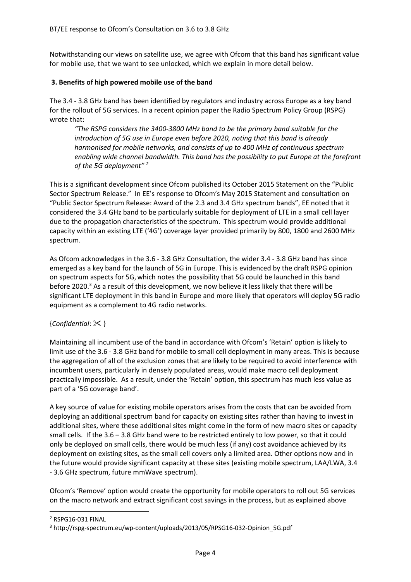Notwithstanding our views on satellite use, we agree with Ofcom that this band has significant value for mobile use, that we want to see unlocked, which we explain in more detail below.

#### **3. Benefits of high powered mobile use of the band**

The 3.4 ‐ 3.8 GHz band has been identified by regulators and industry across Europe as a key band for the rollout of 5G services. In a recent opinion paper the Radio Spectrum Policy Group (RSPG) wrote that:

*"The RSPG considers the 3400‐3800 MHz band to be the primary band suitable for the introduction of 5G use in Europe even before 2020, noting that this band is already harmonised for mobile networks, and consists of up to 400 MHz of continuous spectrum enabling wide channel bandwidth. This band has the possibility to put Europe at the forefront of the 5G deployment" <sup>2</sup>*

This is a significant development since Ofcom published its October 2015 Statement on the "Public Sector Spectrum Release." In EE's response to Ofcom's May 2015 Statement and consultation on "Public Sector Spectrum Release: Award of the 2.3 and 3.4 GHz spectrum bands", EE noted that it considered the 3.4 GHz band to be particularly suitable for deployment of LTE in a small cell layer due to the propagation characteristics of the spectrum. This spectrum would provide additional capacity within an existing LTE ('4G') coverage layer provided primarily by 800, 1800 and 2600 MHz spectrum.

As Ofcom acknowledges in the 3.6 ‐ 3.8 GHz Consultation, the wider 3.4 ‐ 3.8 GHz band has since emerged as a key band for the launch of 5G in Europe. This is evidenced by the draft RSPG opinion on spectrum aspects for 5G, which notes the possibility that 5G could be launched in this band before 2020.<sup>3</sup> As a result of this development, we now believe it less likely that there will be significant LTE deployment in this band in Europe and more likely that operators will deploy 5G radio equipment as a complement to 4G radio networks.

#### {*Confidential*: }

Maintaining all incumbent use of the band in accordance with Ofcom's 'Retain' option is likely to limit use of the 3.6 ‐ 3.8 GHz band for mobile to small cell deployment in many areas. This is because the aggregation of all of the exclusion zones that are likely to be required to avoid interference with incumbent users, particularly in densely populated areas, would make macro cell deployment practically impossible. As a result, under the 'Retain' option, this spectrum has much less value as part of a '5G coverage band'.

A key source of value for existing mobile operators arises from the costs that can be avoided from deploying an additional spectrum band for capacity on existing sites rather than having to invest in additional sites, where these additional sites might come in the form of new macro sites or capacity small cells. If the 3.6 – 3.8 GHz band were to be restricted entirely to low power, so that it could only be deployed on small cells, there would be much less (if any) cost avoidance achieved by its deployment on existing sites, as the small cell covers only a limited area. Other options now and in the future would provide significant capacity at these sites (existing mobile spectrum, LAA/LWA, 3.4 ‐ 3.6 GHz spectrum, future mmWave spectrum).

Ofcom's 'Remove' option would create the opportunity for mobile operators to roll out 5G services on the macro network and extract significant cost savings in the process, but as explained above

<sup>2</sup> RSPG16‐031 FINAL

<sup>&</sup>lt;sup>3</sup> http://rspg-spectrum.eu/wp-content/uploads/2013/05/RPSG16-032-Opinion\_5G.pdf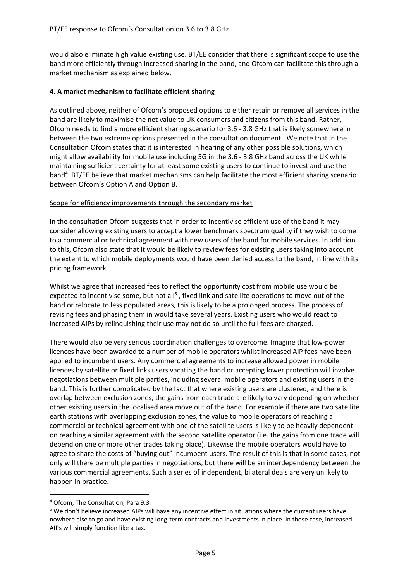would also eliminate high value existing use. BT/EE consider that there is significant scope to use the band more efficiently through increased sharing in the band, and Ofcom can facilitate this through a market mechanism as explained below.

# **4. A market mechanism to facilitate efficient sharing**

As outlined above, neither of Ofcom's proposed options to either retain or remove all services in the band are likely to maximise the net value to UK consumers and citizens from this band. Rather, Ofcom needs to find a more efficient sharing scenario for 3.6 ‐ 3.8 GHz that is likely somewhere in between the two extreme options presented in the consultation document. We note that in the Consultation Ofcom states that it is interested in hearing of any other possible solutions, which might allow availability for mobile use including 5G in the 3.6 ‐ 3.8 GHz band across the UK while maintaining sufficient certainty for at least some existing users to continue to invest and use the band<sup>4</sup>. BT/EE believe that market mechanisms can help facilitate the most efficient sharing scenario between Ofcom's Option A and Option B.

#### Scope for efficiency improvements through the secondary market

In the consultation Ofcom suggests that in order to incentivise efficient use of the band it may consider allowing existing users to accept a lower benchmark spectrum quality if they wish to come to a commercial or technical agreement with new users of the band for mobile services. In addition to this, Ofcom also state that it would be likely to review fees for existing users taking into account the extent to which mobile deployments would have been denied access to the band, in line with its pricing framework.

Whilst we agree that increased fees to reflect the opportunity cost from mobile use would be expected to incentivise some, but not all<sup>5</sup>, fixed link and satellite operations to move out of the band or relocate to less populated areas, this is likely to be a prolonged process. The process of revising fees and phasing them in would take several years. Existing users who would react to increased AIPs by relinquishing their use may not do so until the full fees are charged.

There would also be very serious coordination challenges to overcome. Imagine that low‐power licences have been awarded to a number of mobile operators whilst increased AIP fees have been applied to incumbent users. Any commercial agreements to increase allowed power in mobile licences by satellite or fixed links users vacating the band or accepting lower protection will involve negotiations between multiple parties, including several mobile operators and existing users in the band. This is further complicated by the fact that where existing users are clustered, and there is overlap between exclusion zones, the gains from each trade are likely to vary depending on whether other existing users in the localised area move out of the band. For example if there are two satellite earth stations with overlapping exclusion zones, the value to mobile operators of reaching a commercial or technical agreement with one of the satellite users is likely to be heavily dependent on reaching a similar agreement with the second satellite operator (i.e. the gains from one trade will depend on one or more other trades taking place). Likewise the mobile operators would have to agree to share the costs of "buying out" incumbent users. The result of this is that in some cases, not only will there be multiple parties in negotiations, but there will be an interdependency between the various commercial agreements. Such a series of independent, bilateral deals are very unlikely to happen in practice.

 <sup>4</sup> Ofcom, The Consultation, Para 9.3

<sup>5</sup> We don't believe increased AIPs will have any incentive effect in situations where the current users have nowhere else to go and have existing long‐term contracts and investments in place. In those case, increased AIPs will simply function like a tax.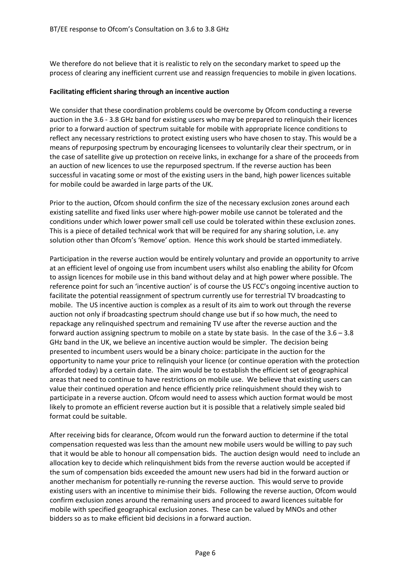We therefore do not believe that it is realistic to rely on the secondary market to speed up the process of clearing any inefficient current use and reassign frequencies to mobile in given locations.

#### **Facilitating efficient sharing through an incentive auction**

We consider that these coordination problems could be overcome by Ofcom conducting a reverse auction in the 3.6 ‐ 3.8 GHz band for existing users who may be prepared to relinquish their licences prior to a forward auction of spectrum suitable for mobile with appropriate licence conditions to reflect any necessary restrictions to protect existing users who have chosen to stay. This would be a means of repurposing spectrum by encouraging licensees to voluntarily clear their spectrum, or in the case of satellite give up protection on receive links, in exchange for a share of the proceeds from an auction of new licences to use the repurposed spectrum. If the reverse auction has been successful in vacating some or most of the existing users in the band, high power licences suitable for mobile could be awarded in large parts of the UK.

Prior to the auction, Ofcom should confirm the size of the necessary exclusion zones around each existing satellite and fixed links user where high‐power mobile use cannot be tolerated and the conditions under which lower power small cell use could be tolerated within these exclusion zones. This is a piece of detailed technical work that will be required for any sharing solution, i.e. any solution other than Ofcom's 'Remove' option. Hence this work should be started immediately.

Participation in the reverse auction would be entirely voluntary and provide an opportunity to arrive at an efficient level of ongoing use from incumbent users whilst also enabling the ability for Ofcom to assign licences for mobile use in this band without delay and at high power where possible. The reference point for such an 'incentive auction' is of course the US FCC's ongoing incentive auction to facilitate the potential reassignment of spectrum currently use for terrestrial TV broadcasting to mobile. The US incentive auction is complex as a result of its aim to work out through the reverse auction not only if broadcasting spectrum should change use but if so how much, the need to repackage any relinquished spectrum and remaining TV use after the reverse auction and the forward auction assigning spectrum to mobile on a state by state basis. In the case of the 3.6 – 3.8 GHz band in the UK, we believe an incentive auction would be simpler. The decision being presented to incumbent users would be a binary choice: participate in the auction for the opportunity to name your price to relinquish your licence (or continue operation with the protection afforded today) by a certain date. The aim would be to establish the efficient set of geographical areas that need to continue to have restrictions on mobile use. We believe that existing users can value their continued operation and hence efficiently price relinquishment should they wish to participate in a reverse auction. Ofcom would need to assess which auction format would be most likely to promote an efficient reverse auction but it is possible that a relatively simple sealed bid format could be suitable.

After receiving bids for clearance, Ofcom would run the forward auction to determine if the total compensation requested was less than the amount new mobile users would be willing to pay such that it would be able to honour all compensation bids. The auction design would need to include an allocation key to decide which relinquishment bids from the reverse auction would be accepted if the sum of compensation bids exceeded the amount new users had bid in the forward auction or another mechanism for potentially re-running the reverse auction. This would serve to provide existing users with an incentive to minimise their bids. Following the reverse auction, Ofcom would confirm exclusion zones around the remaining users and proceed to award licences suitable for mobile with specified geographical exclusion zones. These can be valued by MNOs and other bidders so as to make efficient bid decisions in a forward auction.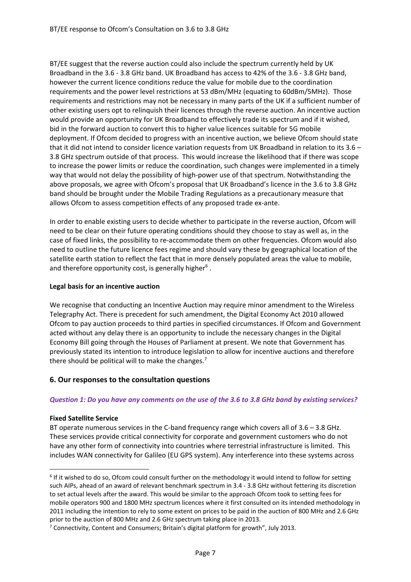BT/EE suggest that the reverse auction could also include the spectrum currently held by UK Broadband in the 3.6 ‐ 3.8 GHz band. UK Broadband has access to 42% of the 3.6 ‐ 3.8 GHz band, however the current licence conditions reduce the value for mobile due to the coordination requirements and the power level restrictions at 53 dBm/MHz (equating to 60dBm/5MHz). Those requirements and restrictions may not be necessary in many parts of the UK if a sufficient number of other existing users opt to relinquish their licences through the reverse auction. An incentive auction would provide an opportunity for UK Broadband to effectively trade its spectrum and if it wished, bid in the forward auction to convert this to higher value licences suitable for 5G mobile deployment. If Ofcom decided to progress with an incentive auction, we believe Ofcom should state that it did not intend to consider licence variation requests from UK Broadband in relation to its 3.6 – 3.8 GHz spectrum outside of that process. This would increase the likelihood that if there was scope to increase the power limits or reduce the coordination, such changes were implemented in a timely way that would not delay the possibility of high‐power use of that spectrum. Notwithstanding the above proposals, we agree with Ofcom's proposal that UK Broadband's licence in the 3.6 to 3.8 GHz band should be brought under the Mobile Trading Regulations as a precautionary measure that allows Ofcom to assess competition effects of any proposed trade ex‐ante.

In order to enable existing users to decide whether to participate in the reverse auction, Ofcom will need to be clear on their future operating conditions should they choose to stay as well as, in the case of fixed links, the possibility to re‐accommodate them on other frequencies. Ofcom would also need to outline the future licence fees regime and should vary these by geographical location of the satellite earth station to reflect the fact that in more densely populated areas the value to mobile, and therefore opportunity cost, is generally higher<sup>6</sup>.

#### **Legal basis for an incentive auction**

We recognise that conducting an Incentive Auction may require minor amendment to the Wireless Telegraphy Act. There is precedent for such amendment, the Digital Economy Act 2010 allowed Ofcom to pay auction proceeds to third parties in specified circumstances. If Ofcom and Government acted without any delay there is an opportunity to include the necessary changes in the Digital Economy Bill going through the Houses of Parliament at present. We note that Government has previously stated its intention to introduce legislation to allow for incentive auctions and therefore there should be political will to make the changes.<sup>7</sup>

# **6. Our responses to the consultation questions**

#### Question 1: Do you have any comments on the use of the 3.6 to 3.8 GHz band by existing services?

#### **Fixed Satellite Service**

BT operate numerous services in the C-band frequency range which covers all of 3.6 – 3.8 GHz. These services provide critical connectivity for corporate and government customers who do not have any other form of connectivity into countries where terrestrial infrastructure is limited. This includes WAN connectivity for Galileo (EU GPS system). Any interference into these systems across

<sup>&</sup>lt;sup>6</sup> If it wished to do so, Ofcom could consult further on the methodology it would intend to follow for setting such AIPs, ahead of an award of relevant benchmark spectrum in 3.4 ‐ 3.8 GHz without fettering its discretion to set actual levels after the award. This would be similar to the approach Ofcom took to setting fees for mobile operators 900 and 1800 MHz spectrum licences where it first consulted on its intended methodology in 2011 including the intention to rely to some extent on prices to be paid in the auction of 800 MHz and 2.6 GHz prior to the auction of 800 MHz and 2.6 GHz spectrum taking place in 2013.

 $7$  Connectivity, Content and Consumers; Britain's digital platform for growth", July 2013.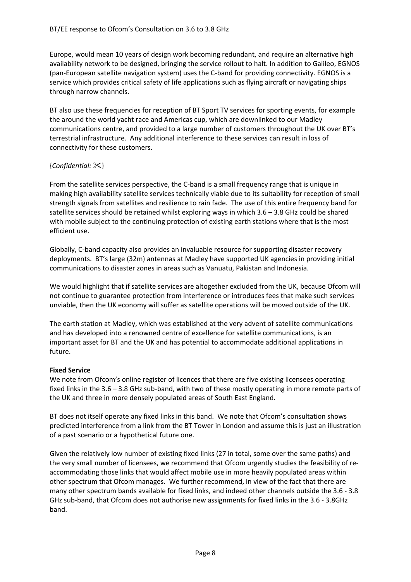Europe, would mean 10 years of design work becoming redundant, and require an alternative high availability network to be designed, bringing the service rollout to halt. In addition to Galileo, EGNOS (pan‐European satellite navigation system) uses the C‐band for providing connectivity. EGNOS is a service which provides critical safety of life applications such as flying aircraft or navigating ships through narrow channels.

BT also use these frequencies for reception of BT Sport TV services for sporting events, for example the around the world yacht race and Americas cup, which are downlinked to our Madley communications centre, and provided to a large number of customers throughout the UK over BT's terrestrial infrastructure. Any additional interference to these services can result in loss of connectivity for these customers.

# {*Confidential:* }

From the satellite services perspective, the C-band is a small frequency range that is unique in making high availability satellite services technically viable due to its suitability for reception of small strength signals from satellites and resilience to rain fade. The use of this entire frequency band for satellite services should be retained whilst exploring ways in which 3.6 – 3.8 GHz could be shared with mobile subject to the continuing protection of existing earth stations where that is the most efficient use.

Globally, C‐band capacity also provides an invaluable resource for supporting disaster recovery deployments. BT's large (32m) antennas at Madley have supported UK agencies in providing initial communications to disaster zones in areas such as Vanuatu, Pakistan and Indonesia.

We would highlight that if satellite services are altogether excluded from the UK, because Ofcom will not continue to guarantee protection from interference or introduces fees that make such services unviable, then the UK economy will suffer as satellite operations will be moved outside of the UK.

The earth station at Madley, which was established at the very advent of satellite communications and has developed into a renowned centre of excellence for satellite communications, is an important asset for BT and the UK and has potential to accommodate additional applications in future.

#### **Fixed Service**

We note from Ofcom's online register of licences that there are five existing licensees operating fixed links in the 3.6 – 3.8 GHz sub-band, with two of these mostly operating in more remote parts of the UK and three in more densely populated areas of South East England.

BT does not itself operate any fixed links in this band. We note that Ofcom's consultation shows predicted interference from a link from the BT Tower in London and assume this is just an illustration of a past scenario or a hypothetical future one.

Given the relatively low number of existing fixed links (27 in total, some over the same paths) and the very small number of licensees, we recommend that Ofcom urgently studies the feasibility of re‐ accommodating those links that would affect mobile use in more heavily populated areas within other spectrum that Ofcom manages. We further recommend, in view of the fact that there are many other spectrum bands available for fixed links, and indeed other channels outside the 3.6 ‐ 3.8 GHz sub‐band, that Ofcom does not authorise new assignments for fixed links in the 3.6 ‐ 3.8GHz band.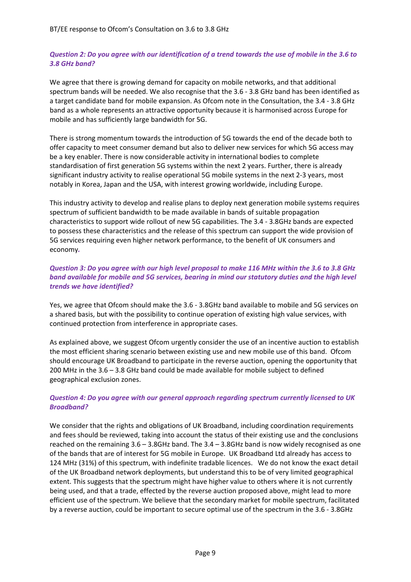# Question 2: Do you agree with our identification of a trend towards the use of mobile in the 3.6 to *3.8 GHz band?*

We agree that there is growing demand for capacity on mobile networks, and that additional spectrum bands will be needed. We also recognise that the 3.6 ‐ 3.8 GHz band has been identified as a target candidate band for mobile expansion. As Ofcom note in the Consultation, the 3.4 ‐ 3.8 GHz band as a whole represents an attractive opportunity because it is harmonised across Europe for mobile and has sufficiently large bandwidth for 5G.

There is strong momentum towards the introduction of 5G towards the end of the decade both to offer capacity to meet consumer demand but also to deliver new services for which 5G access may be a key enabler. There is now considerable activity in international bodies to complete standardisation of first generation 5G systems within the next 2 years. Further, there is already significant industry activity to realise operational 5G mobile systems in the next 2‐3 years, most notably in Korea, Japan and the USA, with interest growing worldwide, including Europe.

This industry activity to develop and realise plans to deploy next generation mobile systems requires spectrum of sufficient bandwidth to be made available in bands of suitable propagation characteristics to support wide rollout of new 5G capabilities. The 3.4 ‐ 3.8GHz bands are expected to possess these characteristics and the release of this spectrum can support the wide provision of 5G services requiring even higher network performance, to the benefit of UK consumers and economy*.*

# Question 3: Do you agree with our high level proposal to make 116 MHz within the 3.6 to 3.8 GHz *band available for mobile and 5G services, bearing in mind our statutory duties and the high level trends we have identified?*

Yes, we agree that Ofcom should make the 3.6 ‐ 3.8GHz band available to mobile and 5G services on a shared basis, but with the possibility to continue operation of existing high value services, with continued protection from interference in appropriate cases.

As explained above, we suggest Ofcom urgently consider the use of an incentive auction to establish the most efficient sharing scenario between existing use and new mobile use of this band. Ofcom should encourage UK Broadband to participate in the reverse auction, opening the opportunity that 200 MHz in the 3.6 – 3.8 GHz band could be made available for mobile subject to defined geographical exclusion zones.

# *Question 4: Do you agree with our general approach regarding spectrum currently licensed to UK Broadband?*

We consider that the rights and obligations of UK Broadband, including coordination requirements and fees should be reviewed, taking into account the status of their existing use and the conclusions reached on the remaining 3.6 – 3.8GHz band. The 3.4 – 3.8GHz band is now widely recognised as one of the bands that are of interest for 5G mobile in Europe. UK Broadband Ltd already has access to 124 MHz (31%) of this spectrum, with indefinite tradable licences. We do not know the exact detail of the UK Broadband network deployments, but understand this to be of very limited geographical extent. This suggests that the spectrum might have higher value to others where it is not currently being used, and that a trade, effected by the reverse auction proposed above, might lead to more efficient use of the spectrum. We believe that the secondary market for mobile spectrum, facilitated by a reverse auction, could be important to secure optimal use of the spectrum in the 3.6 ‐ 3.8GHz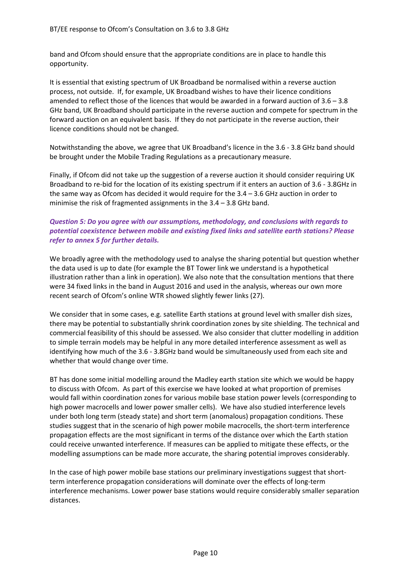band and Ofcom should ensure that the appropriate conditions are in place to handle this opportunity.

It is essential that existing spectrum of UK Broadband be normalised within a reverse auction process, not outside. If, for example, UK Broadband wishes to have their licence conditions amended to reflect those of the licences that would be awarded in a forward auction of 3.6 – 3.8 GHz band, UK Broadband should participate in the reverse auction and compete for spectrum in the forward auction on an equivalent basis. If they do not participate in the reverse auction, their licence conditions should not be changed.

Notwithstanding the above, we agree that UK Broadband's licence in the 3.6 ‐ 3.8 GHz band should be brought under the Mobile Trading Regulations as a precautionary measure.

Finally, if Ofcom did not take up the suggestion of a reverse auction it should consider requiring UK Broadband to re‐bid for the location of its existing spectrum if it enters an auction of 3.6 ‐ 3.8GHz in the same way as Ofcom has decided it would require for the 3.4 – 3.6 GHz auction in order to minimise the risk of fragmented assignments in the 3.4 – 3.8 GHz band.

# *Question 5: Do you agree with our assumptions, methodology, and conclusions with regards to potential coexistence between mobile and existing fixed links and satellite earth stations? Please refer to annex 5 for further details.*

We broadly agree with the methodology used to analyse the sharing potential but question whether the data used is up to date (for example the BT Tower link we understand is a hypothetical illustration rather than a link in operation). We also note that the consultation mentions that there were 34 fixed links in the band in August 2016 and used in the analysis, whereas our own more recent search of Ofcom's online WTR showed slightly fewer links (27).

We consider that in some cases, e.g. satellite Earth stations at ground level with smaller dish sizes, there may be potential to substantially shrink coordination zones by site shielding. The technical and commercial feasibility of this should be assessed. We also consider that clutter modelling in addition to simple terrain models may be helpful in any more detailed interference assessment as well as identifying how much of the 3.6 ‐ 3.8GHz band would be simultaneously used from each site and whether that would change over time.

BT has done some initial modelling around the Madley earth station site which we would be happy to discuss with Ofcom. As part of this exercise we have looked at what proportion of premises would fall within coordination zones for various mobile base station power levels (corresponding to high power macrocells and lower power smaller cells). We have also studied interference levels under both long term (steady state) and short term (anomalous) propagation conditions. These studies suggest that in the scenario of high power mobile macrocells, the short‐term interference propagation effects are the most significant in terms of the distance over which the Earth station could receive unwanted interference. If measures can be applied to mitigate these effects, or the modelling assumptions can be made more accurate, the sharing potential improves considerably.

In the case of high power mobile base stations our preliminary investigations suggest that shortterm interference propagation considerations will dominate over the effects of long‐term interference mechanisms. Lower power base stations would require considerably smaller separation distances.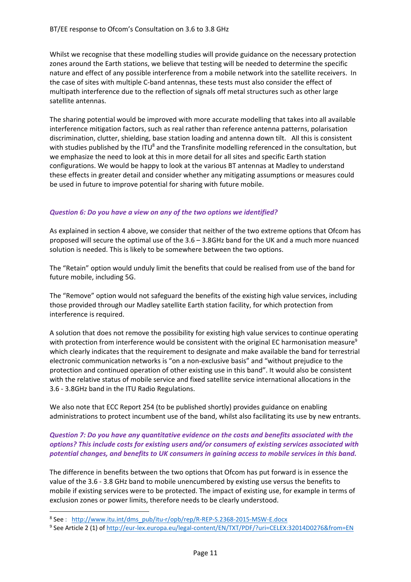Whilst we recognise that these modelling studies will provide guidance on the necessary protection zones around the Earth stations, we believe that testing will be needed to determine the specific nature and effect of any possible interference from a mobile network into the satellite receivers. In the case of sites with multiple C‐band antennas, these tests must also consider the effect of multipath interference due to the reflection of signals off metal structures such as other large satellite antennas.

The sharing potential would be improved with more accurate modelling that takes into all available interference mitigation factors, such as real rather than reference antenna patterns, polarisation discrimination, clutter, shielding, base station loading and antenna down tilt. All this is consistent with studies published by the ITU<sup>8</sup> and the Transfinite modelling referenced in the consultation, but we emphasize the need to look at this in more detail for all sites and specific Earth station configurations. We would be happy to look at the various BT antennas at Madley to understand these effects in greater detail and consider whether any mitigating assumptions or measures could be used in future to improve potential for sharing with future mobile.

# *Question 6: Do you have a view on any of the two options we identified?*

As explained in section 4 above, we consider that neither of the two extreme options that Ofcom has proposed will secure the optimal use of the 3.6 – 3.8GHz band for the UK and a much more nuanced solution is needed. This is likely to be somewhere between the two options.

The "Retain" option would unduly limit the benefits that could be realised from use of the band for future mobile, including 5G.

The "Remove" option would not safeguard the benefits of the existing high value services, including those provided through our Madley satellite Earth station facility, for which protection from interference is required.

A solution that does not remove the possibility for existing high value services to continue operating with protection from interference would be consistent with the original EC harmonisation measure<sup>9</sup> which clearly indicates that the requirement to designate and make available the band for terrestrial electronic communication networks is "on a non‐exclusive basis" and "without prejudice to the protection and continued operation of other existing use in this band". It would also be consistent with the relative status of mobile service and fixed satellite service international allocations in the 3.6 ‐ 3.8GHz band in the ITU Radio Regulations.

We also note that ECC Report 254 (to be published shortly) provides guidance on enabling administrations to protect incumbent use of the band, whilst also facilitating its use by new entrants.

# *Question 7: Do you have any quantitative evidence on the costs and benefits associated with the options? This include costs for existing users and/or consumers of existing services associated with potential changes, and benefits to UK consumers in gaining access to mobile services in this band.*

The difference in benefits between the two options that Ofcom has put forward is in essence the value of the 3.6 ‐ 3.8 GHz band to mobile unencumbered by existing use versus the benefits to mobile if existing services were to be protected. The impact of existing use, for example in terms of exclusion zones or power limits, therefore needs to be clearly understood.

<sup>8</sup> See: http://www.itu.int/dms\_pub/itu-r/opb/rep/R-REP-S.2368-2015-MSW-E.docx

<sup>9</sup> See Article 2 (1) of http://eur-lex.europa.eu/legal-content/EN/TXT/PDF/?uri=CELEX:32014D0276&from=EN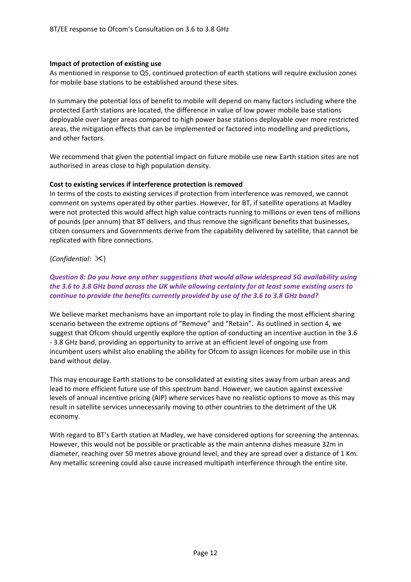#### **Impact of protection of existing use**

As mentioned in response to Q5, continued protection of earth stations will require exclusion zones for mobile base stations to be established around these sites.

In summary the potential loss of benefit to mobile will depend on many factors including where the protected Earth stations are located, the difference in value of low power mobile base stations deployable over larger areas compared to high power base stations deployable over more restricted areas, the mitigation effects that can be implemented or factored into modelling and predictions, and other factors.

We recommend that given the potential impact on future mobile use new Earth station sites are not authorised in areas close to high population density.

#### **Cost to existing services if interference protection is removed**

In terms of the costs to existing services if protection from interference was removed, we cannot comment on systems operated by other parties. However, for BT, if satellite operations at Madley were not protected this would affect high value contracts running to millions or even tens of millions of pounds (per annum) that BT delivers, and thus remove the significant benefits that businesses, citizen consumers and Governments derive from the capability delivered by satellite, that cannot be replicated with fibre connections.

#### {*Confidential*: }

# *Question 8: Do you have any other suggestions that would allow widespread 5G availability using* the 3.6 to 3.8 GHz band across the UK while allowing certainty for at least some existing users to *continue to provide the benefits currently provided by use of the 3.6 to 3.8 GHz band?*

We believe market mechanisms have an important role to play in finding the most efficient sharing scenario between the extreme options of "Remove" and "Retain". As outlined in section 4, we suggest that Ofcom should urgently explore the option of conducting an incentive auction in the 3.6 ‐ 3.8 GHz band, providing an opportunity to arrive at an efficient level of ongoing use from incumbent users whilst also enabling the ability for Ofcom to assign licences for mobile use in this band without delay.

This may encourage Earth stations to be consolidated at existing sites away from urban areas and lead to more efficient future use of this spectrum band. However, we caution against excessive levels of annual incentive pricing (AIP) where services have no realistic options to move as this may result in satellite services unnecessarily moving to other countries to the detriment of the UK economy.

With regard to BT's Earth station at Madley, we have considered options for screening the antennas. However, this would not be possible or practicable as the main antenna dishes measure 32m in diameter, reaching over 50 metres above ground level, and they are spread over a distance of 1 Km. Any metallic screening could also cause increased multipath interference through the entire site.